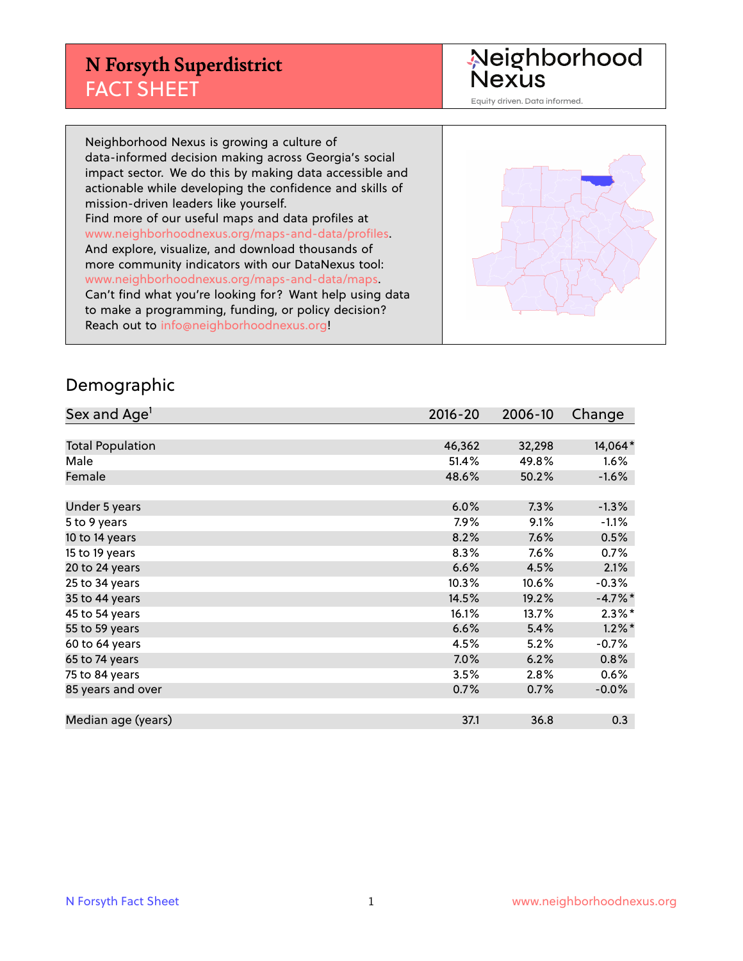## **N Forsyth Superdistrict** FACT SHEET

Neighborhood<br>Nexus

Equity driven. Data informed.

Neighborhood Nexus is growing a culture of data-informed decision making across Georgia's social impact sector. We do this by making data accessible and actionable while developing the confidence and skills of mission-driven leaders like yourself. Find more of our useful maps and data profiles at www.neighborhoodnexus.org/maps-and-data/profiles. And explore, visualize, and download thousands of more community indicators with our DataNexus tool: www.neighborhoodnexus.org/maps-and-data/maps. Can't find what you're looking for? Want help using data to make a programming, funding, or policy decision? Reach out to [info@neighborhoodnexus.org!](mailto:info@neighborhoodnexus.org)



#### Demographic

| Sex and Age <sup>1</sup> | $2016 - 20$ | 2006-10 | Change    |
|--------------------------|-------------|---------|-----------|
|                          |             |         |           |
| <b>Total Population</b>  | 46,362      | 32,298  | 14,064*   |
| Male                     | 51.4%       | 49.8%   | 1.6%      |
| Female                   | 48.6%       | 50.2%   | $-1.6%$   |
|                          |             |         |           |
| Under 5 years            | 6.0%        | 7.3%    | $-1.3%$   |
| 5 to 9 years             | 7.9%        | 9.1%    | $-1.1%$   |
| 10 to 14 years           | 8.2%        | 7.6%    | 0.5%      |
| 15 to 19 years           | 8.3%        | 7.6%    | 0.7%      |
| 20 to 24 years           | 6.6%        | 4.5%    | 2.1%      |
| 25 to 34 years           | 10.3%       | 10.6%   | $-0.3%$   |
| 35 to 44 years           | 14.5%       | 19.2%   | $-4.7%$ * |
| 45 to 54 years           | 16.1%       | 13.7%   | $2.3\%$ * |
| 55 to 59 years           | 6.6%        | 5.4%    | $1.2\%$ * |
| 60 to 64 years           | 4.5%        | 5.2%    | $-0.7%$   |
| 65 to 74 years           | 7.0%        | 6.2%    | 0.8%      |
| 75 to 84 years           | 3.5%        | 2.8%    | 0.6%      |
| 85 years and over        | 0.7%        | 0.7%    | $-0.0\%$  |
|                          |             |         |           |
| Median age (years)       | 37.1        | 36.8    | 0.3       |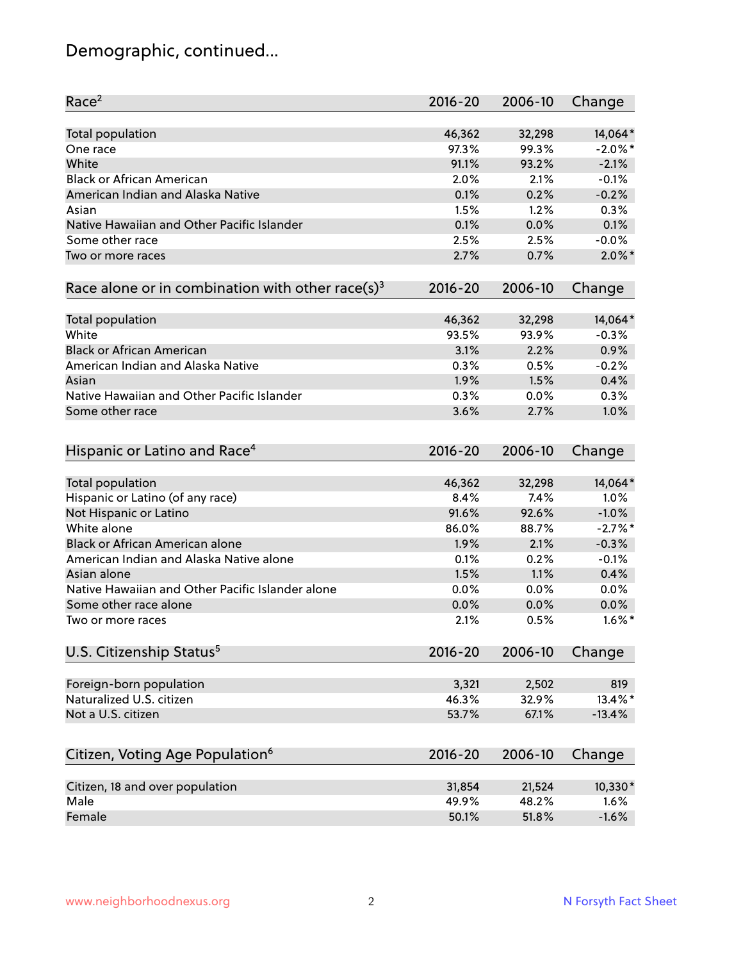# Demographic, continued...

| Race <sup>2</sup>                                            | $2016 - 20$    | 2006-10        | Change        |
|--------------------------------------------------------------|----------------|----------------|---------------|
| <b>Total population</b>                                      | 46,362         | 32,298         | 14,064*       |
| One race                                                     | 97.3%          | 99.3%          | $-2.0\%$ *    |
| White                                                        | 91.1%          | 93.2%          | $-2.1%$       |
| <b>Black or African American</b>                             | 2.0%           | 2.1%           | $-0.1%$       |
| American Indian and Alaska Native                            | 0.1%           | 0.2%           | $-0.2%$       |
| Asian                                                        | 1.5%           | 1.2%           | 0.3%          |
| Native Hawaiian and Other Pacific Islander                   | 0.1%           | 0.0%           | 0.1%          |
| Some other race                                              | 2.5%           | 2.5%           | $-0.0%$       |
| Two or more races                                            | 2.7%           | 0.7%           | $2.0\%$ *     |
| Race alone or in combination with other race(s) <sup>3</sup> | $2016 - 20$    | 2006-10        | Change        |
|                                                              |                |                |               |
| Total population                                             | 46,362         | 32,298         | 14,064*       |
| White                                                        | 93.5%          | 93.9%          | $-0.3%$       |
| <b>Black or African American</b>                             | 3.1%           | 2.2%           | 0.9%          |
| American Indian and Alaska Native                            | 0.3%           | 0.5%           | $-0.2%$       |
| Asian                                                        | 1.9%           | 1.5%           | 0.4%          |
| Native Hawaiian and Other Pacific Islander                   | 0.3%           | 0.0%           | 0.3%          |
| Some other race                                              | 3.6%           | 2.7%           | 1.0%          |
|                                                              |                |                |               |
| Hispanic or Latino and Race <sup>4</sup>                     | $2016 - 20$    | 2006-10        | Change        |
| <b>Total population</b>                                      | 46,362         | 32,298         | 14,064*       |
| Hispanic or Latino (of any race)                             | 8.4%           | 7.4%           | 1.0%          |
| Not Hispanic or Latino                                       | 91.6%          | 92.6%          | $-1.0%$       |
| White alone                                                  | 86.0%          | 88.7%          | $-2.7\%$ *    |
| Black or African American alone                              | 1.9%           | 2.1%           | $-0.3%$       |
| American Indian and Alaska Native alone                      | 0.1%           | 0.2%           | $-0.1%$       |
| Asian alone                                                  | 1.5%           | 1.1%           | 0.4%          |
| Native Hawaiian and Other Pacific Islander alone             | 0.0%           | 0.0%           | 0.0%          |
| Some other race alone                                        | 0.0%           | 0.0%           | 0.0%          |
| Two or more races                                            | 2.1%           | 0.5%           | $1.6\%$ *     |
|                                                              |                |                |               |
| U.S. Citizenship Status <sup>5</sup>                         | $2016 - 20$    | 2006-10        | Change        |
|                                                              |                |                |               |
| Foreign-born population<br>Naturalized U.S. citizen          | 3,321<br>46.3% | 2,502<br>32.9% | 819<br>13.4%* |
| Not a U.S. citizen                                           |                |                |               |
|                                                              | 53.7%          | 67.1%          | $-13.4%$      |
| Citizen, Voting Age Population <sup>6</sup>                  | $2016 - 20$    | 2006-10        | Change        |
| Citizen, 18 and over population                              | 31,854         | 21,524         | 10,330*       |
| Male                                                         | 49.9%          | 48.2%          | 1.6%          |
| Female                                                       | 50.1%          | 51.8%          | $-1.6%$       |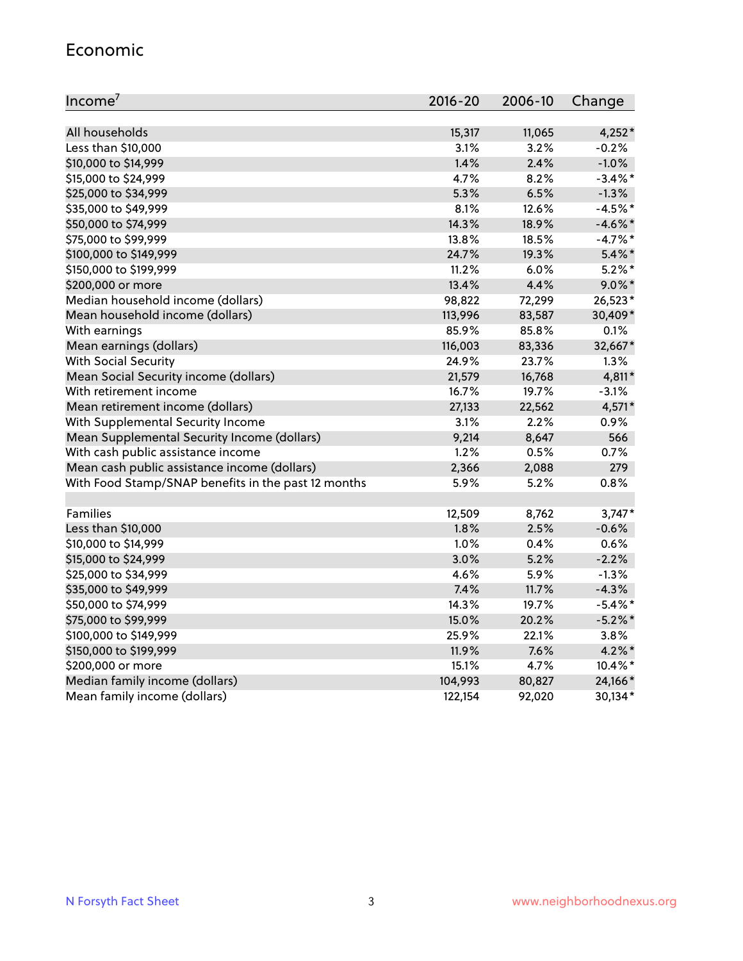#### Economic

| Income <sup>7</sup>                                 | $2016 - 20$ | 2006-10 | Change     |
|-----------------------------------------------------|-------------|---------|------------|
|                                                     |             |         |            |
| All households                                      | 15,317      | 11,065  | $4,252*$   |
| Less than \$10,000                                  | 3.1%        | 3.2%    | $-0.2%$    |
| \$10,000 to \$14,999                                | 1.4%        | 2.4%    | $-1.0%$    |
| \$15,000 to \$24,999                                | 4.7%        | 8.2%    | $-3.4\%$ * |
| \$25,000 to \$34,999                                | 5.3%        | 6.5%    | $-1.3%$    |
| \$35,000 to \$49,999                                | 8.1%        | 12.6%   | $-4.5%$ *  |
| \$50,000 to \$74,999                                | 14.3%       | 18.9%   | $-4.6\%$ * |
| \$75,000 to \$99,999                                | 13.8%       | 18.5%   | $-4.7%$ *  |
| \$100,000 to \$149,999                              | 24.7%       | 19.3%   | $5.4\%$ *  |
| \$150,000 to \$199,999                              | 11.2%       | 6.0%    | $5.2\%$ *  |
| \$200,000 or more                                   | 13.4%       | 4.4%    | $9.0\%$ *  |
| Median household income (dollars)                   | 98,822      | 72,299  | 26,523*    |
| Mean household income (dollars)                     | 113,996     | 83,587  | 30,409*    |
| With earnings                                       | 85.9%       | 85.8%   | 0.1%       |
| Mean earnings (dollars)                             | 116,003     | 83,336  | 32,667*    |
| <b>With Social Security</b>                         | 24.9%       | 23.7%   | 1.3%       |
| Mean Social Security income (dollars)               | 21,579      | 16,768  | 4,811*     |
| With retirement income                              | 16.7%       | 19.7%   | $-3.1%$    |
| Mean retirement income (dollars)                    | 27,133      | 22,562  | 4,571*     |
| With Supplemental Security Income                   | 3.1%        | 2.2%    | 0.9%       |
| Mean Supplemental Security Income (dollars)         | 9,214       | 8,647   | 566        |
| With cash public assistance income                  | 1.2%        | 0.5%    | 0.7%       |
| Mean cash public assistance income (dollars)        | 2,366       | 2,088   | 279        |
| With Food Stamp/SNAP benefits in the past 12 months | 5.9%        | 5.2%    | 0.8%       |
|                                                     |             |         |            |
| Families                                            | 12,509      | 8,762   | $3,747*$   |
| Less than \$10,000                                  | 1.8%        | 2.5%    | $-0.6%$    |
| \$10,000 to \$14,999                                | 1.0%        | 0.4%    | 0.6%       |
| \$15,000 to \$24,999                                | 3.0%        | 5.2%    | $-2.2%$    |
| \$25,000 to \$34,999                                | 4.6%        | 5.9%    | $-1.3%$    |
| \$35,000 to \$49,999                                | 7.4%        | 11.7%   | $-4.3%$    |
| \$50,000 to \$74,999                                | 14.3%       | 19.7%   | $-5.4\%$ * |
| \$75,000 to \$99,999                                | 15.0%       | 20.2%   | $-5.2%$ *  |
| \$100,000 to \$149,999                              | 25.9%       | 22.1%   | 3.8%       |
| \$150,000 to \$199,999                              | 11.9%       | 7.6%    | 4.2%*      |
| \$200,000 or more                                   | 15.1%       | 4.7%    | 10.4%*     |
| Median family income (dollars)                      | 104,993     | 80,827  | 24,166*    |
| Mean family income (dollars)                        | 122,154     | 92,020  | 30,134*    |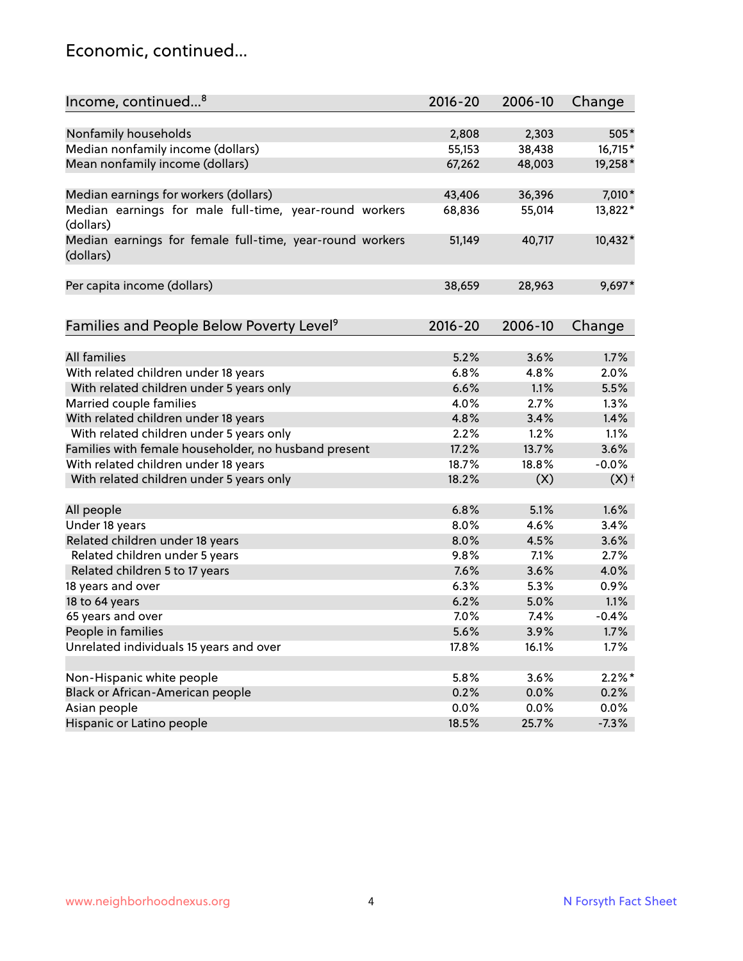#### Economic, continued...

| Income, continued <sup>8</sup>                                        | 2016-20     | 2006-10 | Change             |
|-----------------------------------------------------------------------|-------------|---------|--------------------|
|                                                                       |             |         |                    |
| Nonfamily households                                                  | 2,808       | 2,303   | 505*               |
| Median nonfamily income (dollars)                                     | 55,153      | 38,438  | 16,715*            |
| Mean nonfamily income (dollars)                                       | 67,262      | 48,003  | 19,258*            |
| Median earnings for workers (dollars)                                 | 43,406      | 36,396  | 7,010*             |
| Median earnings for male full-time, year-round workers                | 68,836      | 55,014  | 13,822*            |
| (dollars)                                                             |             |         |                    |
| Median earnings for female full-time, year-round workers<br>(dollars) | 51,149      | 40,717  | 10,432*            |
| Per capita income (dollars)                                           | 38,659      | 28,963  | $9,697*$           |
|                                                                       |             |         |                    |
| Families and People Below Poverty Level <sup>9</sup>                  | $2016 - 20$ | 2006-10 | Change             |
|                                                                       |             |         |                    |
| All families                                                          | 5.2%        | 3.6%    | 1.7%               |
| With related children under 18 years                                  | 6.8%        | 4.8%    | 2.0%               |
| With related children under 5 years only                              | 6.6%        | 1.1%    | 5.5%               |
| Married couple families                                               | 4.0%        | 2.7%    | 1.3%               |
| With related children under 18 years                                  | 4.8%        | 3.4%    | 1.4%               |
| With related children under 5 years only                              | 2.2%        | 1.2%    | 1.1%               |
| Families with female householder, no husband present                  | 17.2%       | 13.7%   | 3.6%               |
| With related children under 18 years                                  | 18.7%       | 18.8%   | $-0.0%$            |
| With related children under 5 years only                              | 18.2%       | (X)     | $(X)$ <sup>+</sup> |
| All people                                                            | 6.8%        | 5.1%    | 1.6%               |
| Under 18 years                                                        | 8.0%        | 4.6%    | 3.4%               |
| Related children under 18 years                                       | 8.0%        | 4.5%    | 3.6%               |
| Related children under 5 years                                        | 9.8%        | 7.1%    | 2.7%               |
| Related children 5 to 17 years                                        | 7.6%        | 3.6%    | 4.0%               |
| 18 years and over                                                     | 6.3%        | 5.3%    | 0.9%               |
| 18 to 64 years                                                        | 6.2%        | 5.0%    | 1.1%               |
| 65 years and over                                                     | 7.0%        | 7.4%    | $-0.4%$            |
| People in families                                                    | 5.6%        | 3.9%    | 1.7%               |
| Unrelated individuals 15 years and over                               | 17.8%       | 16.1%   | 1.7%               |
|                                                                       |             |         |                    |
| Non-Hispanic white people                                             | 5.8%        | 3.6%    | $2.2\%$ *          |
| Black or African-American people                                      | 0.2%        | 0.0%    | 0.2%               |
| Asian people                                                          | 0.0%        | 0.0%    | 0.0%               |
| Hispanic or Latino people                                             | 18.5%       | 25.7%   | $-7.3%$            |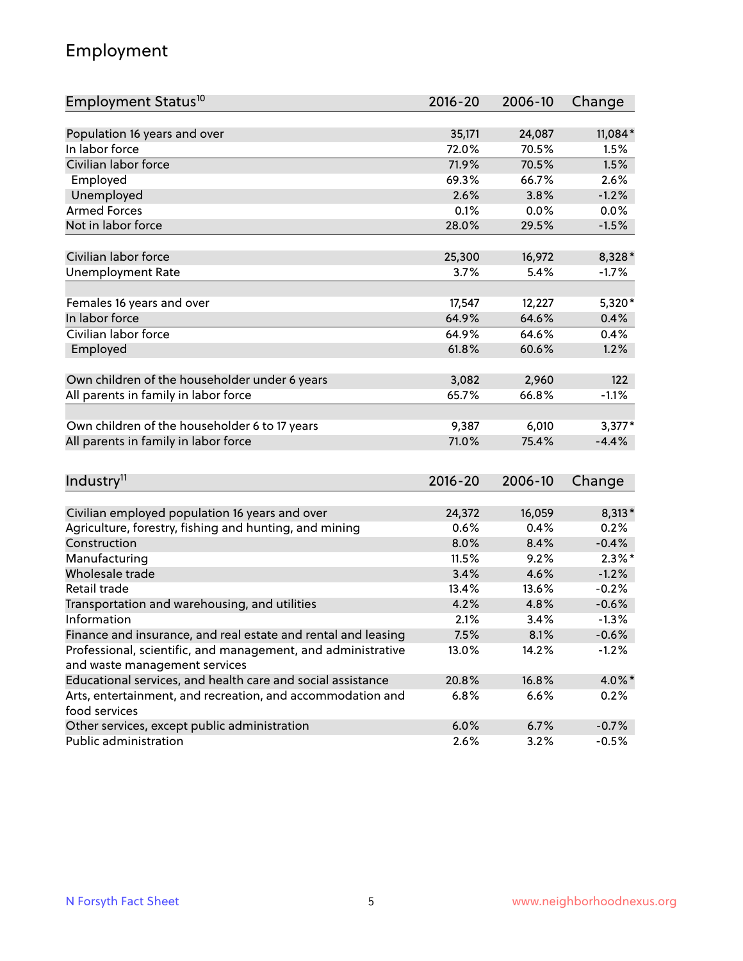## Employment

| Employment Status <sup>10</sup>                                             | $2016 - 20$ | 2006-10 | Change    |
|-----------------------------------------------------------------------------|-------------|---------|-----------|
|                                                                             |             |         |           |
| Population 16 years and over                                                | 35,171      | 24,087  | 11,084*   |
| In labor force                                                              | 72.0%       | 70.5%   | 1.5%      |
| Civilian labor force                                                        | 71.9%       | 70.5%   | 1.5%      |
| Employed                                                                    | 69.3%       | 66.7%   | 2.6%      |
| Unemployed                                                                  | 2.6%        | 3.8%    | $-1.2%$   |
| <b>Armed Forces</b>                                                         | 0.1%        | 0.0%    | 0.0%      |
| Not in labor force                                                          | 28.0%       | 29.5%   | $-1.5%$   |
| Civilian labor force                                                        | 25,300      | 16,972  | 8,328*    |
| <b>Unemployment Rate</b>                                                    | 3.7%        | 5.4%    | $-1.7%$   |
|                                                                             |             |         |           |
| Females 16 years and over                                                   | 17,547      | 12,227  | 5,320*    |
| In labor force                                                              | 64.9%       | 64.6%   | 0.4%      |
| Civilian labor force                                                        | 64.9%       | 64.6%   | 0.4%      |
| Employed                                                                    | 61.8%       | 60.6%   | 1.2%      |
|                                                                             |             |         |           |
| Own children of the householder under 6 years                               | 3,082       | 2,960   | 122       |
| All parents in family in labor force                                        | 65.7%       | 66.8%   | $-1.1%$   |
| Own children of the householder 6 to 17 years                               | 9,387       | 6,010   | $3,377*$  |
| All parents in family in labor force                                        | 71.0%       | 75.4%   | $-4.4%$   |
|                                                                             |             |         |           |
| Industry <sup>11</sup>                                                      | $2016 - 20$ | 2006-10 | Change    |
|                                                                             |             |         |           |
| Civilian employed population 16 years and over                              | 24,372      | 16,059  | $8,313*$  |
| Agriculture, forestry, fishing and hunting, and mining                      | 0.6%        | 0.4%    | 0.2%      |
| Construction                                                                | 8.0%        | 8.4%    | $-0.4%$   |
| Manufacturing                                                               | 11.5%       | 9.2%    | $2.3\%$ * |
| Wholesale trade                                                             | 3.4%        | 4.6%    | $-1.2%$   |
| Retail trade                                                                | 13.4%       | 13.6%   | $-0.2%$   |
| Transportation and warehousing, and utilities                               | 4.2%        | 4.8%    | $-0.6%$   |
| Information                                                                 | 2.1%        | 3.4%    | $-1.3%$   |
| Finance and insurance, and real estate and rental and leasing               | 7.5%        | 8.1%    | $-0.6%$   |
| Professional, scientific, and management, and administrative                | 13.0%       | 14.2%   | $-1.2%$   |
| and waste management services                                               |             |         |           |
| Educational services, and health care and social assistance                 | 20.8%       | 16.8%   | 4.0%*     |
| Arts, entertainment, and recreation, and accommodation and<br>food services | 6.8%        | 6.6%    | 0.2%      |
| Other services, except public administration                                | 6.0%        | 6.7%    | $-0.7%$   |
| Public administration                                                       | 2.6%        | 3.2%    | $-0.5%$   |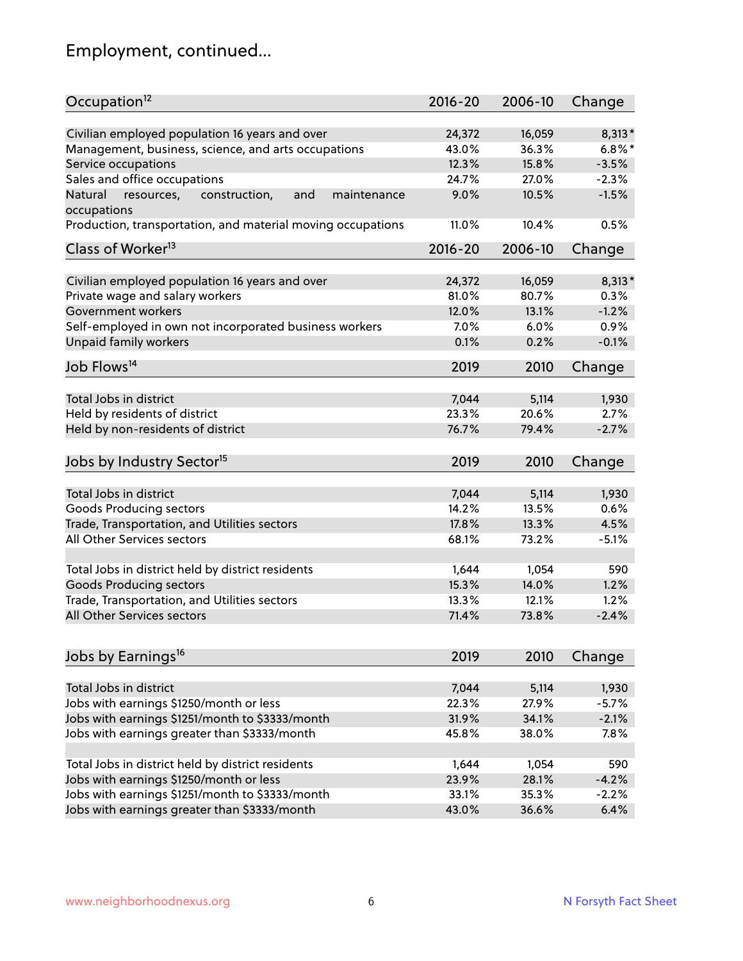# Employment, continued...

| Occupation <sup>12</sup>                                                    | $2016 - 20$ | 2006-10 | Change    |
|-----------------------------------------------------------------------------|-------------|---------|-----------|
| Civilian employed population 16 years and over                              | 24,372      | 16,059  | $8,313*$  |
| Management, business, science, and arts occupations                         | 43.0%       | 36.3%   | $6.8\%$ * |
| Service occupations                                                         | 12.3%       | 15.8%   | $-3.5%$   |
| Sales and office occupations                                                | 24.7%       | 27.0%   | $-2.3%$   |
|                                                                             |             |         | $-1.5%$   |
| Natural<br>and<br>resources,<br>construction,<br>maintenance<br>occupations | 9.0%        | 10.5%   |           |
| Production, transportation, and material moving occupations                 | 11.0%       | 10.4%   | 0.5%      |
| Class of Worker <sup>13</sup>                                               | $2016 - 20$ | 2006-10 | Change    |
|                                                                             |             |         |           |
| Civilian employed population 16 years and over                              | 24,372      | 16,059  | $8,313*$  |
| Private wage and salary workers                                             | 81.0%       | 80.7%   | 0.3%      |
| Government workers                                                          | 12.0%       | 13.1%   | $-1.2%$   |
| Self-employed in own not incorporated business workers                      | 7.0%        | 6.0%    | 0.9%      |
| Unpaid family workers                                                       | 0.1%        | 0.2%    | $-0.1%$   |
| Job Flows <sup>14</sup>                                                     | 2019        | 2010    | Change    |
|                                                                             |             |         |           |
| Total Jobs in district                                                      | 7,044       | 5,114   | 1,930     |
| Held by residents of district                                               | 23.3%       | 20.6%   | 2.7%      |
| Held by non-residents of district                                           | 76.7%       | 79.4%   | $-2.7%$   |
| Jobs by Industry Sector <sup>15</sup>                                       | 2019        | 2010    | Change    |
|                                                                             |             |         |           |
| Total Jobs in district                                                      | 7,044       | 5,114   | 1,930     |
| Goods Producing sectors                                                     | 14.2%       | 13.5%   | 0.6%      |
| Trade, Transportation, and Utilities sectors                                | 17.8%       | 13.3%   | 4.5%      |
| All Other Services sectors                                                  | 68.1%       | 73.2%   | $-5.1%$   |
|                                                                             |             |         |           |
| Total Jobs in district held by district residents                           | 1,644       | 1,054   | 590       |
| <b>Goods Producing sectors</b>                                              | 15.3%       | 14.0%   | 1.2%      |
| Trade, Transportation, and Utilities sectors                                | 13.3%       | 12.1%   | 1.2%      |
| All Other Services sectors                                                  | 71.4%       | 73.8%   | $-2.4%$   |
|                                                                             |             |         |           |
| Jobs by Earnings <sup>16</sup>                                              | 2019        | 2010    | Change    |
|                                                                             |             |         |           |
| Total Jobs in district                                                      | 7,044       | 5,114   | 1,930     |
| Jobs with earnings \$1250/month or less                                     | 22.3%       | 27.9%   | $-5.7%$   |
| Jobs with earnings \$1251/month to \$3333/month                             | 31.9%       | 34.1%   | $-2.1%$   |
| Jobs with earnings greater than \$3333/month                                | 45.8%       | 38.0%   | 7.8%      |
| Total Jobs in district held by district residents                           | 1,644       | 1,054   | 590       |
| Jobs with earnings \$1250/month or less                                     | 23.9%       | 28.1%   | $-4.2%$   |
| Jobs with earnings \$1251/month to \$3333/month                             | 33.1%       | 35.3%   | $-2.2%$   |
| Jobs with earnings greater than \$3333/month                                | 43.0%       | 36.6%   | 6.4%      |
|                                                                             |             |         |           |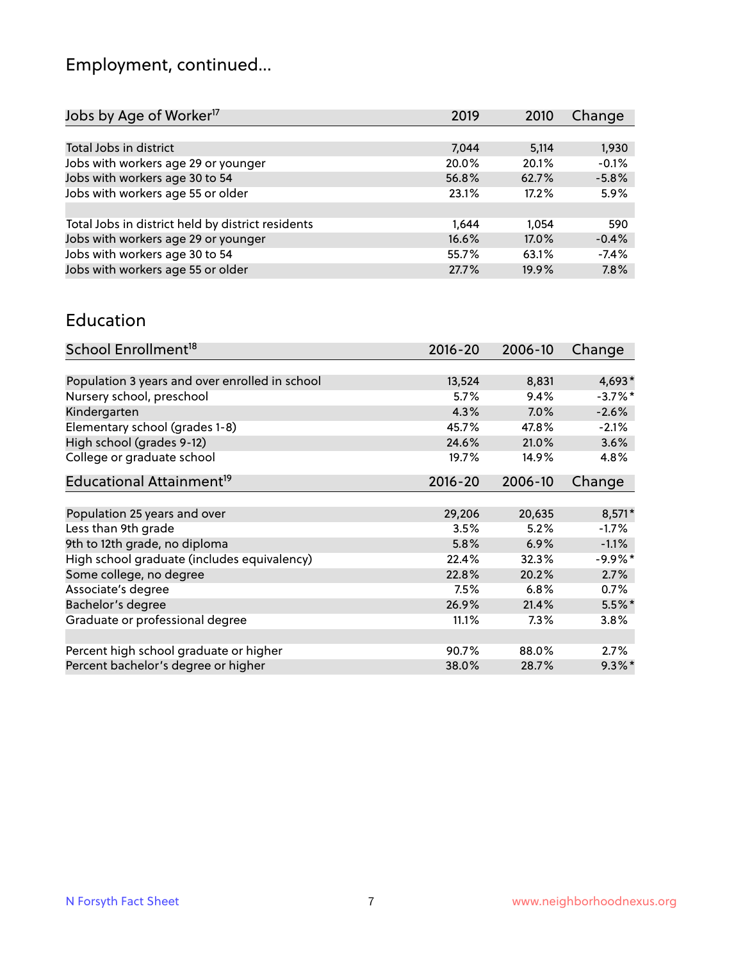# Employment, continued...

| Jobs by Age of Worker <sup>17</sup>               | 2019  | 2010  | Change  |
|---------------------------------------------------|-------|-------|---------|
|                                                   |       |       |         |
| Total Jobs in district                            | 7,044 | 5,114 | 1,930   |
| Jobs with workers age 29 or younger               | 20.0% | 20.1% | $-0.1%$ |
| Jobs with workers age 30 to 54                    | 56.8% | 62.7% | $-5.8%$ |
| Jobs with workers age 55 or older                 | 23.1% | 17.2% | 5.9%    |
|                                                   |       |       |         |
| Total Jobs in district held by district residents | 1.644 | 1.054 | 590     |
| Jobs with workers age 29 or younger               | 16.6% | 17.0% | $-0.4%$ |
| Jobs with workers age 30 to 54                    | 55.7% | 63.1% | $-7.4%$ |
| Jobs with workers age 55 or older                 | 27.7% | 19.9% | 7.8%    |
|                                                   |       |       |         |

#### Education

| School Enrollment <sup>18</sup>                | $2016 - 20$ | 2006-10 | Change     |
|------------------------------------------------|-------------|---------|------------|
|                                                |             |         |            |
| Population 3 years and over enrolled in school | 13,524      | 8,831   | 4,693*     |
| Nursery school, preschool                      | 5.7%        | 9.4%    | $-3.7\%$ * |
| Kindergarten                                   | 4.3%        | 7.0%    | $-2.6%$    |
| Elementary school (grades 1-8)                 | 45.7%       | 47.8%   | $-2.1%$    |
| High school (grades 9-12)                      | 24.6%       | 21.0%   | 3.6%       |
| College or graduate school                     | 19.7%       | 14.9%   | 4.8%       |
| Educational Attainment <sup>19</sup>           | $2016 - 20$ | 2006-10 | Change     |
|                                                |             |         |            |
| Population 25 years and over                   | 29,206      | 20,635  | $8,571*$   |
| Less than 9th grade                            | 3.5%        | 5.2%    | $-1.7%$    |
| 9th to 12th grade, no diploma                  | 5.8%        | 6.9%    | $-1.1%$    |
| High school graduate (includes equivalency)    | 22.4%       | 32.3%   | $-9.9\%$ * |
| Some college, no degree                        | 22.8%       | 20.2%   | 2.7%       |
| Associate's degree                             | 7.5%        | 6.8%    | 0.7%       |
| Bachelor's degree                              | 26.9%       | 21.4%   | 5.5%*      |
| Graduate or professional degree                | 11.1%       | 7.3%    | 3.8%       |
|                                                |             |         |            |
| Percent high school graduate or higher         | 90.7%       | 88.0%   | $2.7\%$    |
| Percent bachelor's degree or higher            | 38.0%       | 28.7%   | $9.3\%$ *  |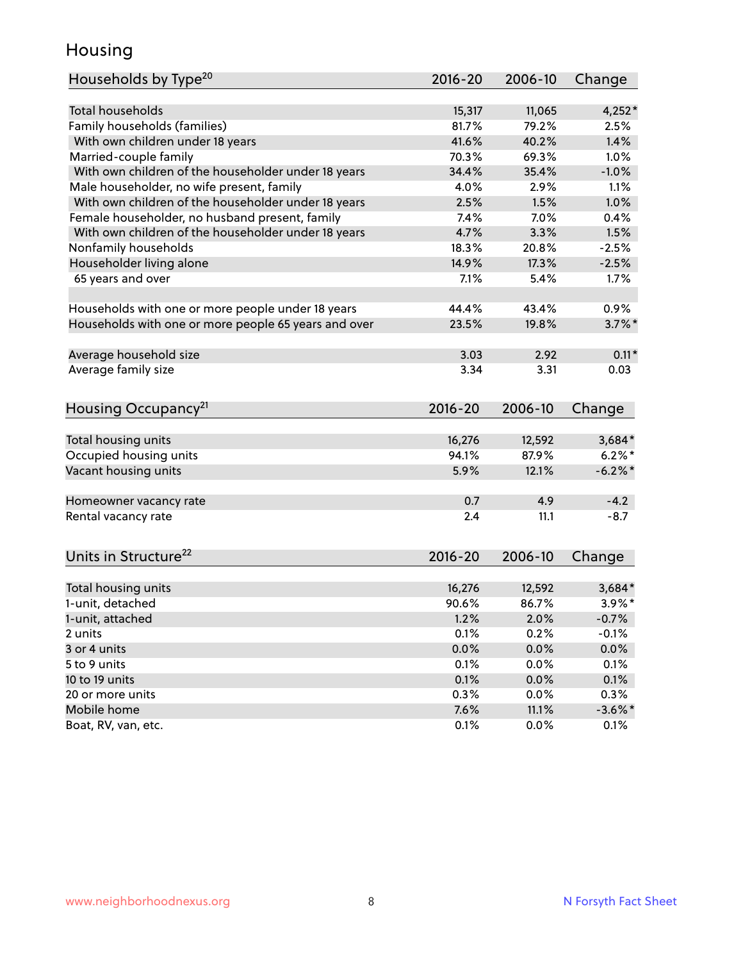## Housing

| <b>Total households</b><br>$4,252*$<br>15,317<br>11,065<br>Family households (families)<br>79.2%<br>81.7%<br>2.5%<br>41.6%<br>1.4%<br>With own children under 18 years<br>40.2%<br>Married-couple family<br>1.0%<br>70.3%<br>69.3%<br>With own children of the householder under 18 years<br>34.4%<br>35.4%<br>$-1.0%$<br>Male householder, no wife present, family<br>1.1%<br>4.0%<br>2.9%<br>With own children of the householder under 18 years<br>2.5%<br>1.5%<br>1.0%<br>Female householder, no husband present, family<br>7.4%<br>7.0%<br>0.4%<br>With own children of the householder under 18 years<br>4.7%<br>3.3%<br>1.5%<br>Nonfamily households<br>18.3%<br>20.8%<br>$-2.5%$<br>Householder living alone<br>14.9%<br>17.3%<br>$-2.5%$<br>65 years and over<br>7.1%<br>5.4%<br>1.7%<br>44.4%<br>43.4%<br>0.9%<br>Households with one or more people under 18 years<br>Households with one or more people 65 years and over<br>23.5%<br>19.8%<br>$3.7\%$ *<br>Average household size<br>$0.11*$<br>3.03<br>2.92<br>Average family size<br>3.34<br>3.31<br>0.03<br>Housing Occupancy <sup>21</sup><br>2016-20<br>2006-10<br>Change<br>Total housing units<br>16,276<br>12,592<br>$3,684*$<br>$6.2\%$ *<br>Occupied housing units<br>94.1%<br>87.9%<br>Vacant housing units<br>12.1%<br>$-6.2%$ *<br>5.9%<br>0.7<br>4.9<br>$-4.2$<br>Homeowner vacancy rate<br>Rental vacancy rate<br>2.4<br>11.1<br>$-8.7$<br>2016-20<br>2006-10<br>Change<br>Total housing units<br>16,276<br>12,592<br>$3,684*$<br>1-unit, detached<br>90.6%<br>$3.9\%*$<br>86.7%<br>1-unit, attached<br>1.2%<br>2.0%<br>$-0.7%$<br>0.2%<br>2 units<br>0.1%<br>$-0.1%$<br>0.0%<br>0.0%<br>0.0%<br>3 or 4 units<br>5 to 9 units<br>0.0%<br>0.1%<br>0.1%<br>0.1%<br>10 to 19 units<br>0.1%<br>0.0%<br>0.3%<br>0.3%<br>0.0%<br>20 or more units<br>Mobile home<br>7.6%<br>11.1%<br>$-3.6\%$ * | Households by Type <sup>20</sup> | 2016-20 | 2006-10 | Change |
|-----------------------------------------------------------------------------------------------------------------------------------------------------------------------------------------------------------------------------------------------------------------------------------------------------------------------------------------------------------------------------------------------------------------------------------------------------------------------------------------------------------------------------------------------------------------------------------------------------------------------------------------------------------------------------------------------------------------------------------------------------------------------------------------------------------------------------------------------------------------------------------------------------------------------------------------------------------------------------------------------------------------------------------------------------------------------------------------------------------------------------------------------------------------------------------------------------------------------------------------------------------------------------------------------------------------------------------------------------------------------------------------------------------------------------------------------------------------------------------------------------------------------------------------------------------------------------------------------------------------------------------------------------------------------------------------------------------------------------------------------------------------------------------------------------------------------------------------------------------------------|----------------------------------|---------|---------|--------|
|                                                                                                                                                                                                                                                                                                                                                                                                                                                                                                                                                                                                                                                                                                                                                                                                                                                                                                                                                                                                                                                                                                                                                                                                                                                                                                                                                                                                                                                                                                                                                                                                                                                                                                                                                                                                                                                                       |                                  |         |         |        |
|                                                                                                                                                                                                                                                                                                                                                                                                                                                                                                                                                                                                                                                                                                                                                                                                                                                                                                                                                                                                                                                                                                                                                                                                                                                                                                                                                                                                                                                                                                                                                                                                                                                                                                                                                                                                                                                                       |                                  |         |         |        |
|                                                                                                                                                                                                                                                                                                                                                                                                                                                                                                                                                                                                                                                                                                                                                                                                                                                                                                                                                                                                                                                                                                                                                                                                                                                                                                                                                                                                                                                                                                                                                                                                                                                                                                                                                                                                                                                                       |                                  |         |         |        |
|                                                                                                                                                                                                                                                                                                                                                                                                                                                                                                                                                                                                                                                                                                                                                                                                                                                                                                                                                                                                                                                                                                                                                                                                                                                                                                                                                                                                                                                                                                                                                                                                                                                                                                                                                                                                                                                                       |                                  |         |         |        |
|                                                                                                                                                                                                                                                                                                                                                                                                                                                                                                                                                                                                                                                                                                                                                                                                                                                                                                                                                                                                                                                                                                                                                                                                                                                                                                                                                                                                                                                                                                                                                                                                                                                                                                                                                                                                                                                                       |                                  |         |         |        |
|                                                                                                                                                                                                                                                                                                                                                                                                                                                                                                                                                                                                                                                                                                                                                                                                                                                                                                                                                                                                                                                                                                                                                                                                                                                                                                                                                                                                                                                                                                                                                                                                                                                                                                                                                                                                                                                                       |                                  |         |         |        |
|                                                                                                                                                                                                                                                                                                                                                                                                                                                                                                                                                                                                                                                                                                                                                                                                                                                                                                                                                                                                                                                                                                                                                                                                                                                                                                                                                                                                                                                                                                                                                                                                                                                                                                                                                                                                                                                                       |                                  |         |         |        |
|                                                                                                                                                                                                                                                                                                                                                                                                                                                                                                                                                                                                                                                                                                                                                                                                                                                                                                                                                                                                                                                                                                                                                                                                                                                                                                                                                                                                                                                                                                                                                                                                                                                                                                                                                                                                                                                                       |                                  |         |         |        |
|                                                                                                                                                                                                                                                                                                                                                                                                                                                                                                                                                                                                                                                                                                                                                                                                                                                                                                                                                                                                                                                                                                                                                                                                                                                                                                                                                                                                                                                                                                                                                                                                                                                                                                                                                                                                                                                                       |                                  |         |         |        |
|                                                                                                                                                                                                                                                                                                                                                                                                                                                                                                                                                                                                                                                                                                                                                                                                                                                                                                                                                                                                                                                                                                                                                                                                                                                                                                                                                                                                                                                                                                                                                                                                                                                                                                                                                                                                                                                                       |                                  |         |         |        |
|                                                                                                                                                                                                                                                                                                                                                                                                                                                                                                                                                                                                                                                                                                                                                                                                                                                                                                                                                                                                                                                                                                                                                                                                                                                                                                                                                                                                                                                                                                                                                                                                                                                                                                                                                                                                                                                                       |                                  |         |         |        |
|                                                                                                                                                                                                                                                                                                                                                                                                                                                                                                                                                                                                                                                                                                                                                                                                                                                                                                                                                                                                                                                                                                                                                                                                                                                                                                                                                                                                                                                                                                                                                                                                                                                                                                                                                                                                                                                                       |                                  |         |         |        |
|                                                                                                                                                                                                                                                                                                                                                                                                                                                                                                                                                                                                                                                                                                                                                                                                                                                                                                                                                                                                                                                                                                                                                                                                                                                                                                                                                                                                                                                                                                                                                                                                                                                                                                                                                                                                                                                                       |                                  |         |         |        |
|                                                                                                                                                                                                                                                                                                                                                                                                                                                                                                                                                                                                                                                                                                                                                                                                                                                                                                                                                                                                                                                                                                                                                                                                                                                                                                                                                                                                                                                                                                                                                                                                                                                                                                                                                                                                                                                                       |                                  |         |         |        |
|                                                                                                                                                                                                                                                                                                                                                                                                                                                                                                                                                                                                                                                                                                                                                                                                                                                                                                                                                                                                                                                                                                                                                                                                                                                                                                                                                                                                                                                                                                                                                                                                                                                                                                                                                                                                                                                                       |                                  |         |         |        |
|                                                                                                                                                                                                                                                                                                                                                                                                                                                                                                                                                                                                                                                                                                                                                                                                                                                                                                                                                                                                                                                                                                                                                                                                                                                                                                                                                                                                                                                                                                                                                                                                                                                                                                                                                                                                                                                                       |                                  |         |         |        |
|                                                                                                                                                                                                                                                                                                                                                                                                                                                                                                                                                                                                                                                                                                                                                                                                                                                                                                                                                                                                                                                                                                                                                                                                                                                                                                                                                                                                                                                                                                                                                                                                                                                                                                                                                                                                                                                                       |                                  |         |         |        |
|                                                                                                                                                                                                                                                                                                                                                                                                                                                                                                                                                                                                                                                                                                                                                                                                                                                                                                                                                                                                                                                                                                                                                                                                                                                                                                                                                                                                                                                                                                                                                                                                                                                                                                                                                                                                                                                                       |                                  |         |         |        |
|                                                                                                                                                                                                                                                                                                                                                                                                                                                                                                                                                                                                                                                                                                                                                                                                                                                                                                                                                                                                                                                                                                                                                                                                                                                                                                                                                                                                                                                                                                                                                                                                                                                                                                                                                                                                                                                                       |                                  |         |         |        |
|                                                                                                                                                                                                                                                                                                                                                                                                                                                                                                                                                                                                                                                                                                                                                                                                                                                                                                                                                                                                                                                                                                                                                                                                                                                                                                                                                                                                                                                                                                                                                                                                                                                                                                                                                                                                                                                                       |                                  |         |         |        |
|                                                                                                                                                                                                                                                                                                                                                                                                                                                                                                                                                                                                                                                                                                                                                                                                                                                                                                                                                                                                                                                                                                                                                                                                                                                                                                                                                                                                                                                                                                                                                                                                                                                                                                                                                                                                                                                                       |                                  |         |         |        |
|                                                                                                                                                                                                                                                                                                                                                                                                                                                                                                                                                                                                                                                                                                                                                                                                                                                                                                                                                                                                                                                                                                                                                                                                                                                                                                                                                                                                                                                                                                                                                                                                                                                                                                                                                                                                                                                                       |                                  |         |         |        |
|                                                                                                                                                                                                                                                                                                                                                                                                                                                                                                                                                                                                                                                                                                                                                                                                                                                                                                                                                                                                                                                                                                                                                                                                                                                                                                                                                                                                                                                                                                                                                                                                                                                                                                                                                                                                                                                                       |                                  |         |         |        |
|                                                                                                                                                                                                                                                                                                                                                                                                                                                                                                                                                                                                                                                                                                                                                                                                                                                                                                                                                                                                                                                                                                                                                                                                                                                                                                                                                                                                                                                                                                                                                                                                                                                                                                                                                                                                                                                                       |                                  |         |         |        |
|                                                                                                                                                                                                                                                                                                                                                                                                                                                                                                                                                                                                                                                                                                                                                                                                                                                                                                                                                                                                                                                                                                                                                                                                                                                                                                                                                                                                                                                                                                                                                                                                                                                                                                                                                                                                                                                                       |                                  |         |         |        |
|                                                                                                                                                                                                                                                                                                                                                                                                                                                                                                                                                                                                                                                                                                                                                                                                                                                                                                                                                                                                                                                                                                                                                                                                                                                                                                                                                                                                                                                                                                                                                                                                                                                                                                                                                                                                                                                                       |                                  |         |         |        |
|                                                                                                                                                                                                                                                                                                                                                                                                                                                                                                                                                                                                                                                                                                                                                                                                                                                                                                                                                                                                                                                                                                                                                                                                                                                                                                                                                                                                                                                                                                                                                                                                                                                                                                                                                                                                                                                                       |                                  |         |         |        |
|                                                                                                                                                                                                                                                                                                                                                                                                                                                                                                                                                                                                                                                                                                                                                                                                                                                                                                                                                                                                                                                                                                                                                                                                                                                                                                                                                                                                                                                                                                                                                                                                                                                                                                                                                                                                                                                                       |                                  |         |         |        |
|                                                                                                                                                                                                                                                                                                                                                                                                                                                                                                                                                                                                                                                                                                                                                                                                                                                                                                                                                                                                                                                                                                                                                                                                                                                                                                                                                                                                                                                                                                                                                                                                                                                                                                                                                                                                                                                                       | Units in Structure <sup>22</sup> |         |         |        |
|                                                                                                                                                                                                                                                                                                                                                                                                                                                                                                                                                                                                                                                                                                                                                                                                                                                                                                                                                                                                                                                                                                                                                                                                                                                                                                                                                                                                                                                                                                                                                                                                                                                                                                                                                                                                                                                                       |                                  |         |         |        |
|                                                                                                                                                                                                                                                                                                                                                                                                                                                                                                                                                                                                                                                                                                                                                                                                                                                                                                                                                                                                                                                                                                                                                                                                                                                                                                                                                                                                                                                                                                                                                                                                                                                                                                                                                                                                                                                                       |                                  |         |         |        |
|                                                                                                                                                                                                                                                                                                                                                                                                                                                                                                                                                                                                                                                                                                                                                                                                                                                                                                                                                                                                                                                                                                                                                                                                                                                                                                                                                                                                                                                                                                                                                                                                                                                                                                                                                                                                                                                                       |                                  |         |         |        |
|                                                                                                                                                                                                                                                                                                                                                                                                                                                                                                                                                                                                                                                                                                                                                                                                                                                                                                                                                                                                                                                                                                                                                                                                                                                                                                                                                                                                                                                                                                                                                                                                                                                                                                                                                                                                                                                                       |                                  |         |         |        |
|                                                                                                                                                                                                                                                                                                                                                                                                                                                                                                                                                                                                                                                                                                                                                                                                                                                                                                                                                                                                                                                                                                                                                                                                                                                                                                                                                                                                                                                                                                                                                                                                                                                                                                                                                                                                                                                                       |                                  |         |         |        |
|                                                                                                                                                                                                                                                                                                                                                                                                                                                                                                                                                                                                                                                                                                                                                                                                                                                                                                                                                                                                                                                                                                                                                                                                                                                                                                                                                                                                                                                                                                                                                                                                                                                                                                                                                                                                                                                                       |                                  |         |         |        |
|                                                                                                                                                                                                                                                                                                                                                                                                                                                                                                                                                                                                                                                                                                                                                                                                                                                                                                                                                                                                                                                                                                                                                                                                                                                                                                                                                                                                                                                                                                                                                                                                                                                                                                                                                                                                                                                                       |                                  |         |         |        |
|                                                                                                                                                                                                                                                                                                                                                                                                                                                                                                                                                                                                                                                                                                                                                                                                                                                                                                                                                                                                                                                                                                                                                                                                                                                                                                                                                                                                                                                                                                                                                                                                                                                                                                                                                                                                                                                                       |                                  |         |         |        |
|                                                                                                                                                                                                                                                                                                                                                                                                                                                                                                                                                                                                                                                                                                                                                                                                                                                                                                                                                                                                                                                                                                                                                                                                                                                                                                                                                                                                                                                                                                                                                                                                                                                                                                                                                                                                                                                                       |                                  |         |         |        |
| 0.1%<br>0.0%<br>0.1%                                                                                                                                                                                                                                                                                                                                                                                                                                                                                                                                                                                                                                                                                                                                                                                                                                                                                                                                                                                                                                                                                                                                                                                                                                                                                                                                                                                                                                                                                                                                                                                                                                                                                                                                                                                                                                                  | Boat, RV, van, etc.              |         |         |        |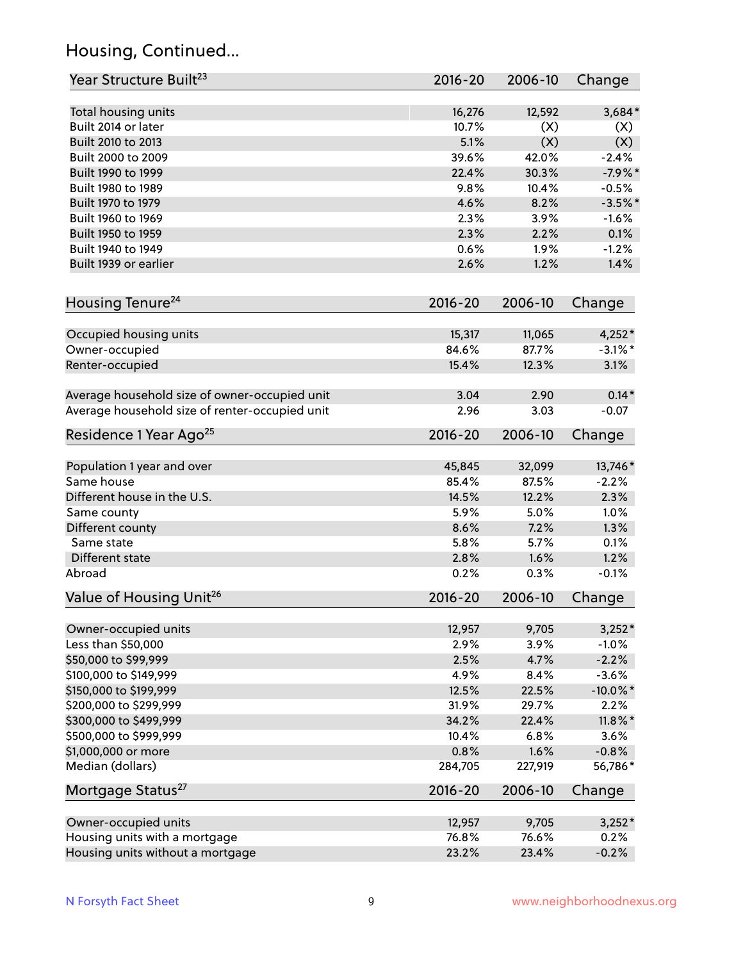## Housing, Continued...

| Year Structure Built <sup>23</sup>             | 2016-20     | 2006-10 | Change      |
|------------------------------------------------|-------------|---------|-------------|
| Total housing units                            | 16,276      | 12,592  | 3,684*      |
| Built 2014 or later                            | 10.7%       | (X)     | (X)         |
| Built 2010 to 2013                             | 5.1%        | (X)     | (X)         |
| Built 2000 to 2009                             | 39.6%       | 42.0%   | $-2.4%$     |
| Built 1990 to 1999                             | 22.4%       | 30.3%   | $-7.9%$ *   |
| Built 1980 to 1989                             | 9.8%        | 10.4%   | $-0.5%$     |
| Built 1970 to 1979                             | 4.6%        | 8.2%    | $-3.5%$ *   |
| Built 1960 to 1969                             | 2.3%        | 3.9%    | $-1.6%$     |
| Built 1950 to 1959                             | 2.3%        | 2.2%    | 0.1%        |
| Built 1940 to 1949                             | 0.6%        | 1.9%    | $-1.2%$     |
| Built 1939 or earlier                          | 2.6%        | 1.2%    | 1.4%        |
|                                                |             |         |             |
| Housing Tenure <sup>24</sup>                   | $2016 - 20$ | 2006-10 | Change      |
| Occupied housing units                         | 15,317      | 11,065  | 4,252*      |
| Owner-occupied                                 | 84.6%       | 87.7%   | $-3.1\%$ *  |
| Renter-occupied                                | 15.4%       | 12.3%   | 3.1%        |
| Average household size of owner-occupied unit  | 3.04        | 2.90    | $0.14*$     |
| Average household size of renter-occupied unit | 2.96        | 3.03    | $-0.07$     |
| Residence 1 Year Ago <sup>25</sup>             | $2016 - 20$ | 2006-10 | Change      |
|                                                |             |         |             |
| Population 1 year and over                     | 45,845      | 32,099  | 13,746*     |
| Same house                                     | 85.4%       | 87.5%   | $-2.2%$     |
| Different house in the U.S.                    | 14.5%       | 12.2%   | 2.3%        |
| Same county                                    | 5.9%        | 5.0%    | 1.0%        |
| Different county                               | 8.6%        | 7.2%    | 1.3%        |
| Same state                                     | 5.8%        | 5.7%    | 0.1%        |
| Different state                                | 2.8%        | 1.6%    | 1.2%        |
| Abroad                                         | 0.2%        | 0.3%    | $-0.1%$     |
| Value of Housing Unit <sup>26</sup>            | $2016 - 20$ | 2006-10 | Change      |
| Owner-occupied units                           | 12,957      | 9,705   | $3,252*$    |
| Less than \$50,000                             | 2.9%        | 3.9%    | $-1.0%$     |
| \$50,000 to \$99,999                           | 2.5%        | 4.7%    | $-2.2%$     |
| \$100,000 to \$149,999                         | 4.9%        | 8.4%    | $-3.6%$     |
| \$150,000 to \$199,999                         | 12.5%       | 22.5%   | $-10.0\%$ * |
| \$200,000 to \$299,999                         | 31.9%       | 29.7%   | 2.2%        |
| \$300,000 to \$499,999                         | 34.2%       | 22.4%   | $11.8\%$ *  |
| \$500,000 to \$999,999                         | 10.4%       | 6.8%    | 3.6%        |
| \$1,000,000 or more                            | 0.8%        | 1.6%    | $-0.8%$     |
| Median (dollars)                               | 284,705     | 227,919 | 56,786*     |
| Mortgage Status <sup>27</sup>                  | $2016 - 20$ | 2006-10 | Change      |
| Owner-occupied units                           | 12,957      | 9,705   | $3,252*$    |
| Housing units with a mortgage                  | 76.8%       | 76.6%   | 0.2%        |
| Housing units without a mortgage               | 23.2%       | 23.4%   | $-0.2%$     |
|                                                |             |         |             |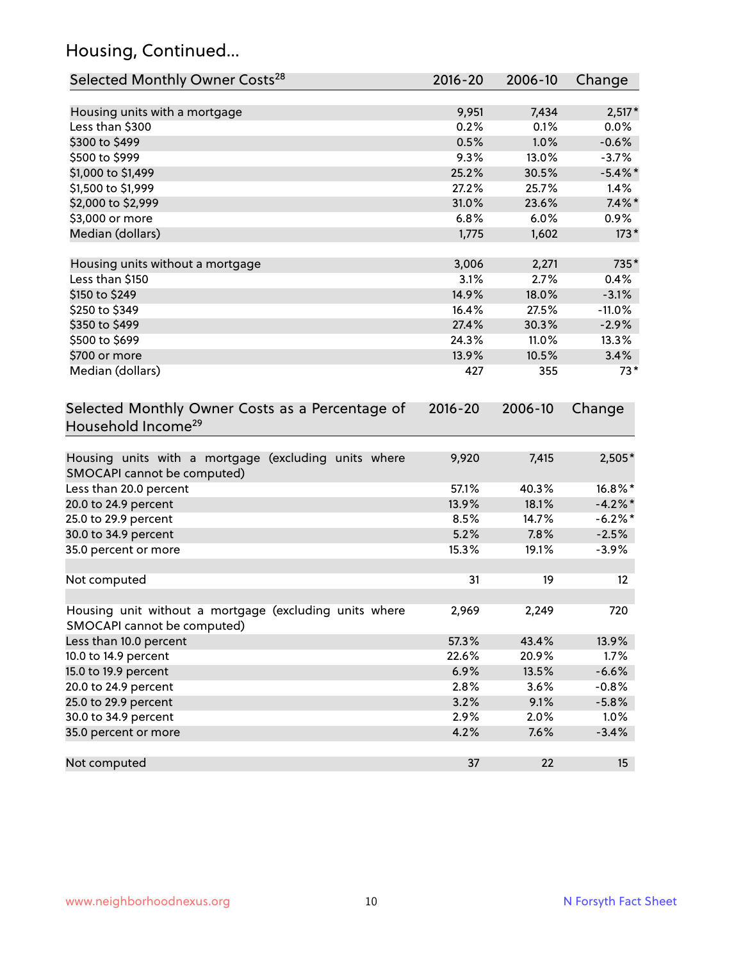## Housing, Continued...

| Selected Monthly Owner Costs <sup>28</sup>                                            | 2016-20     | 2006-10 | Change     |
|---------------------------------------------------------------------------------------|-------------|---------|------------|
| Housing units with a mortgage                                                         | 9,951       | 7,434   | $2,517*$   |
| Less than \$300                                                                       | 0.2%        | 0.1%    | 0.0%       |
| \$300 to \$499                                                                        | 0.5%        | 1.0%    | $-0.6%$    |
| \$500 to \$999                                                                        | 9.3%        | 13.0%   | $-3.7%$    |
| \$1,000 to \$1,499                                                                    | 25.2%       | 30.5%   | $-5.4\%$ * |
| \$1,500 to \$1,999                                                                    | 27.2%       | 25.7%   | 1.4%       |
| \$2,000 to \$2,999                                                                    | 31.0%       | 23.6%   | $7.4\%$ *  |
| \$3,000 or more                                                                       | 6.8%        | 6.0%    | 0.9%       |
| Median (dollars)                                                                      | 1,775       | 1,602   | $173*$     |
| Housing units without a mortgage                                                      | 3,006       | 2,271   | 735*       |
| Less than \$150                                                                       | 3.1%        | 2.7%    | 0.4%       |
| \$150 to \$249                                                                        | 14.9%       | 18.0%   | $-3.1%$    |
| \$250 to \$349                                                                        | 16.4%       | 27.5%   | $-11.0%$   |
| \$350 to \$499                                                                        | 27.4%       | 30.3%   | $-2.9%$    |
| \$500 to \$699                                                                        | 24.3%       | 11.0%   | 13.3%      |
| \$700 or more                                                                         | 13.9%       | 10.5%   | 3.4%       |
| Median (dollars)                                                                      | 427         | 355     | $73*$      |
| Selected Monthly Owner Costs as a Percentage of<br>Household Income <sup>29</sup>     | $2016 - 20$ | 2006-10 | Change     |
| Housing units with a mortgage (excluding units where<br>SMOCAPI cannot be computed)   | 9,920       | 7,415   | 2,505*     |
| Less than 20.0 percent                                                                | 57.1%       | 40.3%   | 16.8%*     |
| 20.0 to 24.9 percent                                                                  | 13.9%       | 18.1%   | $-4.2\%$ * |
| 25.0 to 29.9 percent                                                                  | 8.5%        | 14.7%   | $-6.2\%$ * |
| 30.0 to 34.9 percent                                                                  | 5.2%        | 7.8%    | $-2.5%$    |
| 35.0 percent or more                                                                  | 15.3%       | 19.1%   | $-3.9%$    |
| Not computed                                                                          | 31          | 19      | 12         |
| Housing unit without a mortgage (excluding units where<br>SMOCAPI cannot be computed) | 2,969       | 2,249   | 720        |
| Less than 10.0 percent                                                                | 57.3%       | 43.4%   | 13.9%      |
| 10.0 to 14.9 percent                                                                  | 22.6%       | 20.9%   | 1.7%       |
| 15.0 to 19.9 percent                                                                  | 6.9%        | 13.5%   | $-6.6%$    |
| 20.0 to 24.9 percent                                                                  | 2.8%        | 3.6%    | $-0.8%$    |
| 25.0 to 29.9 percent                                                                  | 3.2%        | 9.1%    | $-5.8%$    |
| 30.0 to 34.9 percent                                                                  | 2.9%        | 2.0%    | 1.0%       |
| 35.0 percent or more                                                                  | 4.2%        | 7.6%    | $-3.4%$    |
| Not computed                                                                          | 37          | 22      | 15         |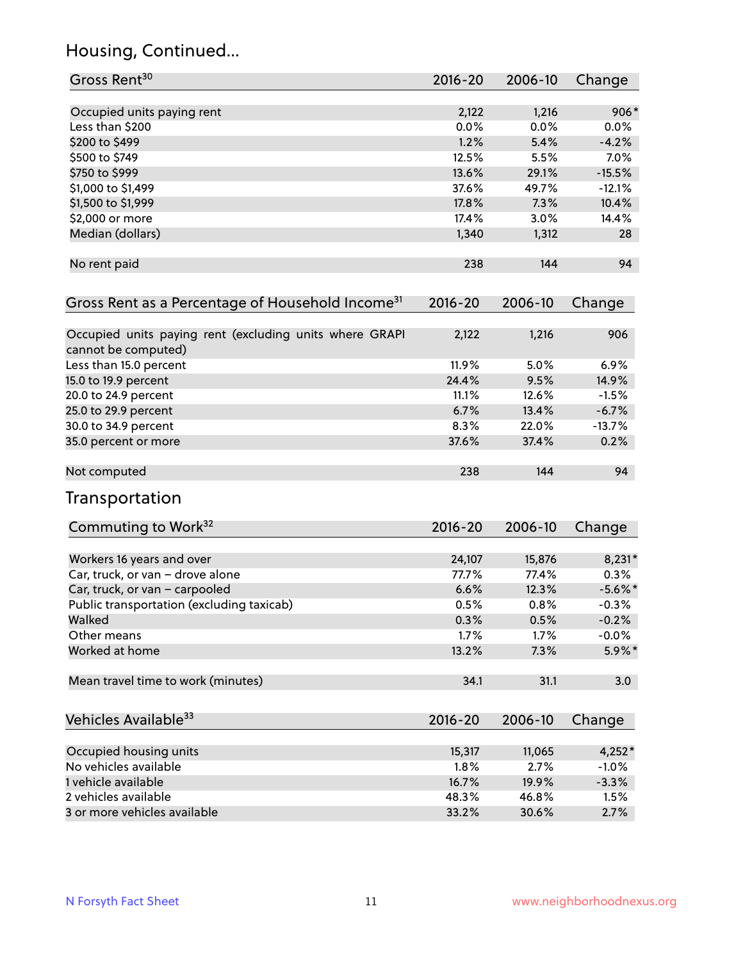## Housing, Continued...

| Gross Rent <sup>30</sup>                                                       | 2016-20 | 2006-10 | Change     |
|--------------------------------------------------------------------------------|---------|---------|------------|
| Occupied units paying rent                                                     | 2,122   | 1,216   | $906*$     |
| Less than \$200                                                                | 0.0%    | 0.0%    | 0.0%       |
| \$200 to \$499                                                                 | 1.2%    | 5.4%    | $-4.2%$    |
| \$500 to \$749                                                                 | 12.5%   | 5.5%    | 7.0%       |
| \$750 to \$999                                                                 | 13.6%   | 29.1%   | $-15.5%$   |
| \$1,000 to \$1,499                                                             | 37.6%   | 49.7%   | $-12.1%$   |
| \$1,500 to \$1,999                                                             | 17.8%   | 7.3%    | 10.4%      |
| \$2,000 or more                                                                | 17.4%   | 3.0%    | 14.4%      |
| Median (dollars)                                                               | 1,340   | 1,312   | 28         |
| No rent paid                                                                   | 238     | 144     | 94         |
| Gross Rent as a Percentage of Household Income <sup>31</sup>                   | 2016-20 | 2006-10 | Change     |
| Occupied units paying rent (excluding units where GRAPI<br>cannot be computed) | 2,122   | 1,216   | 906        |
| Less than 15.0 percent                                                         | 11.9%   | 5.0%    | 6.9%       |
| 15.0 to 19.9 percent                                                           | 24.4%   | 9.5%    | 14.9%      |
| 20.0 to 24.9 percent                                                           | 11.1%   | 12.6%   | $-1.5%$    |
| 25.0 to 29.9 percent                                                           | 6.7%    | 13.4%   | $-6.7%$    |
| 30.0 to 34.9 percent                                                           | 8.3%    | 22.0%   | $-13.7%$   |
| 35.0 percent or more                                                           | 37.6%   | 37.4%   | 0.2%       |
| Not computed                                                                   | 238     | 144     | 94         |
| Transportation                                                                 |         |         |            |
| Commuting to Work <sup>32</sup>                                                | 2016-20 | 2006-10 | Change     |
| Workers 16 years and over                                                      | 24,107  | 15,876  | $8,231*$   |
| Car, truck, or van - drove alone                                               | 77.7%   | 77.4%   | 0.3%       |
| Car, truck, or van - carpooled                                                 | 6.6%    | 12.3%   | $-5.6\%$ * |
| Public transportation (excluding taxicab)                                      | 0.5%    | 0.8%    | $-0.3%$    |
| Walked                                                                         | 0.3%    | 0.5%    | $-0.2%$    |
| Other means                                                                    | 1.7%    | 1.7%    | $-0.0%$    |
| Worked at home                                                                 | 13.2%   | 7.3%    | 5.9%*      |
| Mean travel time to work (minutes)                                             | 34.1    | 31.1    | 3.0        |
| Vehicles Available <sup>33</sup>                                               | 2016-20 | 2006-10 | Change     |
| Occupied housing units                                                         | 15,317  | 11,065  | $4,252*$   |
| No vehicles available                                                          | 1.8%    | 2.7%    | $-1.0%$    |
| 1 vehicle available                                                            | 16.7%   | 19.9%   | $-3.3%$    |
| 2 vehicles available                                                           | 48.3%   | 46.8%   | 1.5%       |
| 3 or more vehicles available                                                   | 33.2%   | 30.6%   | 2.7%       |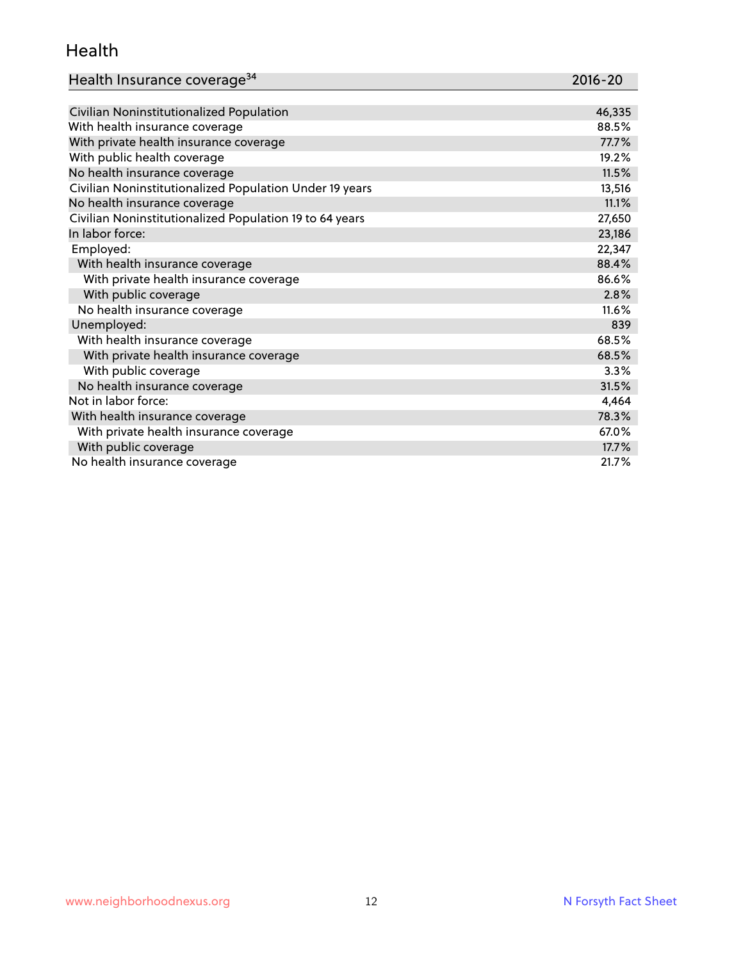#### Health

| Health Insurance coverage <sup>34</sup> | 2016-20 |
|-----------------------------------------|---------|
|-----------------------------------------|---------|

| Civilian Noninstitutionalized Population                | 46,335 |
|---------------------------------------------------------|--------|
| With health insurance coverage                          | 88.5%  |
| With private health insurance coverage                  | 77.7%  |
| With public health coverage                             | 19.2%  |
| No health insurance coverage                            | 11.5%  |
| Civilian Noninstitutionalized Population Under 19 years | 13,516 |
| No health insurance coverage                            | 11.1%  |
| Civilian Noninstitutionalized Population 19 to 64 years | 27,650 |
| In labor force:                                         | 23,186 |
| Employed:                                               | 22,347 |
| With health insurance coverage                          | 88.4%  |
| With private health insurance coverage                  | 86.6%  |
| With public coverage                                    | 2.8%   |
| No health insurance coverage                            | 11.6%  |
| Unemployed:                                             | 839    |
| With health insurance coverage                          | 68.5%  |
| With private health insurance coverage                  | 68.5%  |
| With public coverage                                    | 3.3%   |
| No health insurance coverage                            | 31.5%  |
| Not in labor force:                                     | 4,464  |
| With health insurance coverage                          | 78.3%  |
| With private health insurance coverage                  | 67.0%  |
| With public coverage                                    | 17.7%  |
| No health insurance coverage                            | 21.7%  |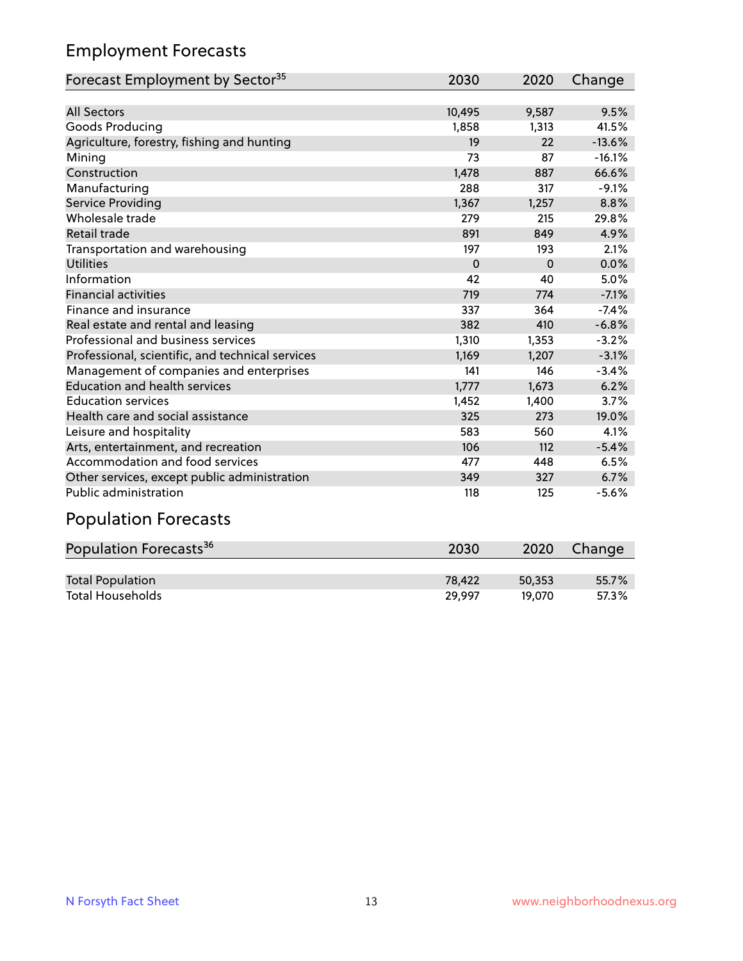## Employment Forecasts

| Forecast Employment by Sector <sup>35</sup>      | 2030        | 2020     | Change   |
|--------------------------------------------------|-------------|----------|----------|
|                                                  |             |          |          |
| <b>All Sectors</b>                               | 10,495      | 9,587    | 9.5%     |
| Goods Producing                                  | 1,858       | 1,313    | 41.5%    |
| Agriculture, forestry, fishing and hunting       | 19          | 22       | $-13.6%$ |
| Mining                                           | 73          | 87       | $-16.1%$ |
| Construction                                     | 1,478       | 887      | 66.6%    |
| Manufacturing                                    | 288         | 317      | $-9.1%$  |
| Service Providing                                | 1,367       | 1,257    | 8.8%     |
| Wholesale trade                                  | 279         | 215      | 29.8%    |
| Retail trade                                     | 891         | 849      | 4.9%     |
| Transportation and warehousing                   | 197         | 193      | 2.1%     |
| <b>Utilities</b>                                 | $\mathbf 0$ | $\Omega$ | 0.0%     |
| Information                                      | 42          | 40       | 5.0%     |
| <b>Financial activities</b>                      | 719         | 774      | $-7.1%$  |
| Finance and insurance                            | 337         | 364      | $-7.4%$  |
| Real estate and rental and leasing               | 382         | 410      | $-6.8%$  |
| Professional and business services               | 1,310       | 1,353    | $-3.2%$  |
| Professional, scientific, and technical services | 1,169       | 1,207    | $-3.1%$  |
| Management of companies and enterprises          | 141         | 146      | $-3.4%$  |
| <b>Education and health services</b>             | 1,777       | 1,673    | 6.2%     |
| <b>Education services</b>                        | 1,452       | 1,400    | 3.7%     |
| Health care and social assistance                | 325         | 273      | 19.0%    |
| Leisure and hospitality                          | 583         | 560      | 4.1%     |
| Arts, entertainment, and recreation              | 106         | 112      | $-5.4%$  |
| Accommodation and food services                  | 477         | 448      | 6.5%     |
| Other services, except public administration     | 349         | 327      | 6.7%     |
| <b>Public administration</b>                     | 118         | 125      | $-5.6%$  |
|                                                  |             |          |          |

#### Population Forecasts

| Population Forecasts <sup>36</sup> | 2030   | 2020   | Change |
|------------------------------------|--------|--------|--------|
|                                    |        |        |        |
| <b>Total Population</b>            | 78.422 | 50,353 | 55.7%  |
| <b>Total Households</b>            | 29.997 | 19.070 | 57.3%  |